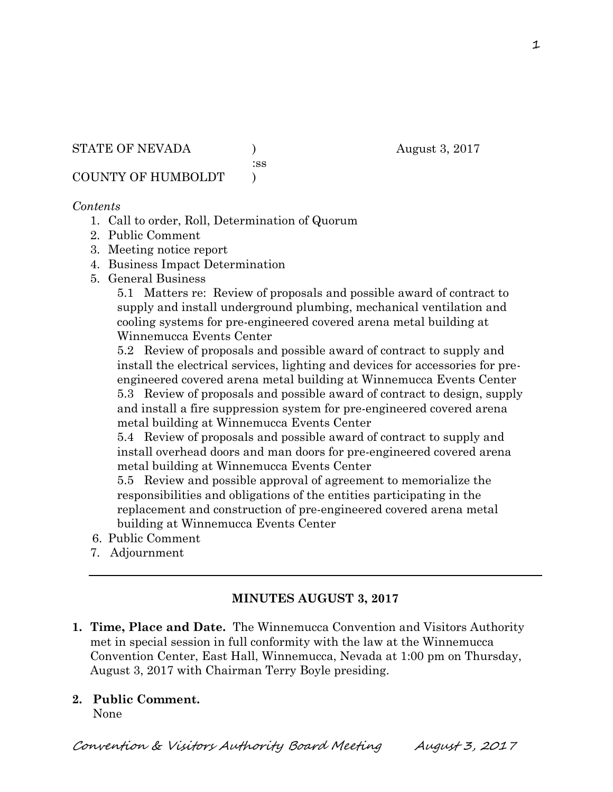STATE OF NEVADA (a) and  $\alpha$  and  $\alpha$  and  $\alpha$  and  $\alpha$  and  $\alpha$  and  $\alpha$  and  $\alpha$  3, 2017

:ss

COUNTY OF HUMBOLDT )

#### *Contents*

- 1. Call to order, Roll, Determination of Quorum
- 2. Public Comment
- 3. Meeting notice report
- 4. Business Impact Determination
- 5. General Business

5.1 Matters re: Review of proposals and possible award of contract to supply and install underground plumbing, mechanical ventilation and cooling systems for pre-engineered covered arena metal building at Winnemucca Events Center

5.2 Review of proposals and possible award of contract to supply and install the electrical services, lighting and devices for accessories for preengineered covered arena metal building at Winnemucca Events Center 5.3 Review of proposals and possible award of contract to design, supply and install a fire suppression system for pre-engineered covered arena metal building at Winnemucca Events Center

5.4 Review of proposals and possible award of contract to supply and install overhead doors and man doors for pre-engineered covered arena metal building at Winnemucca Events Center

5.5 Review and possible approval of agreement to memorialize the responsibilities and obligations of the entities participating in the replacement and construction of pre-engineered covered arena metal building at Winnemucca Events Center

- 6. Public Comment
- 7. Adjournment

# **MINUTES AUGUST 3, 2017**

**1. Time, Place and Date.** The Winnemucca Convention and Visitors Authority met in special session in full conformity with the law at the Winnemucca Convention Center, East Hall, Winnemucca, Nevada at 1:00 pm on Thursday, August 3, 2017 with Chairman Terry Boyle presiding.

# **2. Public Comment.**

None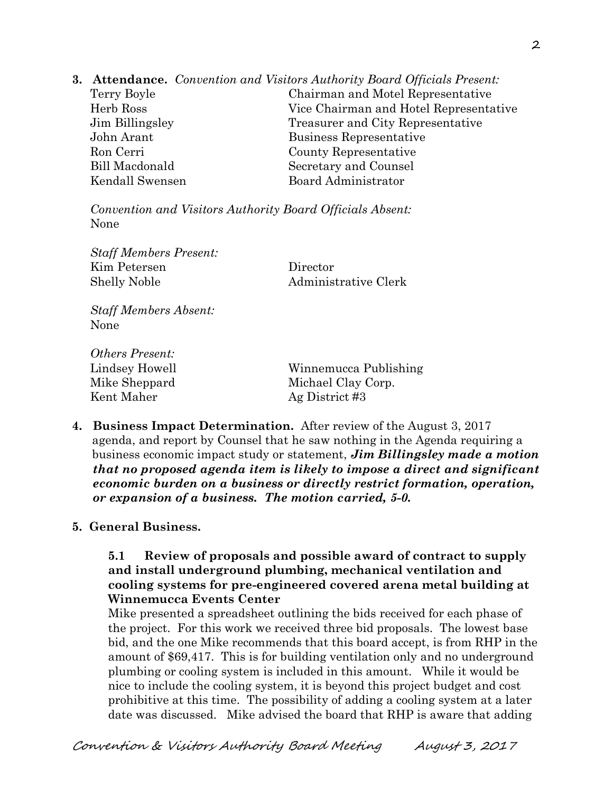**3. Attendance.** *Convention and Visitors Authority Board Officials Present:* 

Terry Boyle Chairman and Motel Representative Herb Ross Vice Chairman and Hotel Representative Jim Billingsley Treasurer and City Representative John Arant Business Representative Ron Cerri County Representative Bill Macdonald Secretary and Counsel Kendall Swensen Board Administrator

*Convention and Visitors Authority Board Officials Absent:*  None

*Staff Members Present:*  Kim Petersen Director Shelly Noble **Administrative Clerk** 

*Staff Members Absent:*  None

*Others Present:*  Kent Maher Ag District #3

Lindsey Howell Winnemucca Publishing Mike Sheppard Michael Clay Corp.

**4. Business Impact Determination.** After review of the August 3, 2017 agenda, and report by Counsel that he saw nothing in the Agenda requiring a business economic impact study or statement, *Jim Billingsley made a motion that no proposed agenda item is likely to impose a direct and significant economic burden on a business or directly restrict formation, operation, or expansion of a business. The motion carried, 5-0.*

# **5. General Business.**

### **5.1 Review of proposals and possible award of contract to supply and install underground plumbing, mechanical ventilation and cooling systems for pre-engineered covered arena metal building at Winnemucca Events Center**

Mike presented a spreadsheet outlining the bids received for each phase of the project. For this work we received three bid proposals. The lowest base bid, and the one Mike recommends that this board accept, is from RHP in the amount of \$69,417. This is for building ventilation only and no underground plumbing or cooling system is included in this amount. While it would be nice to include the cooling system, it is beyond this project budget and cost prohibitive at this time. The possibility of adding a cooling system at a later date was discussed. Mike advised the board that RHP is aware that adding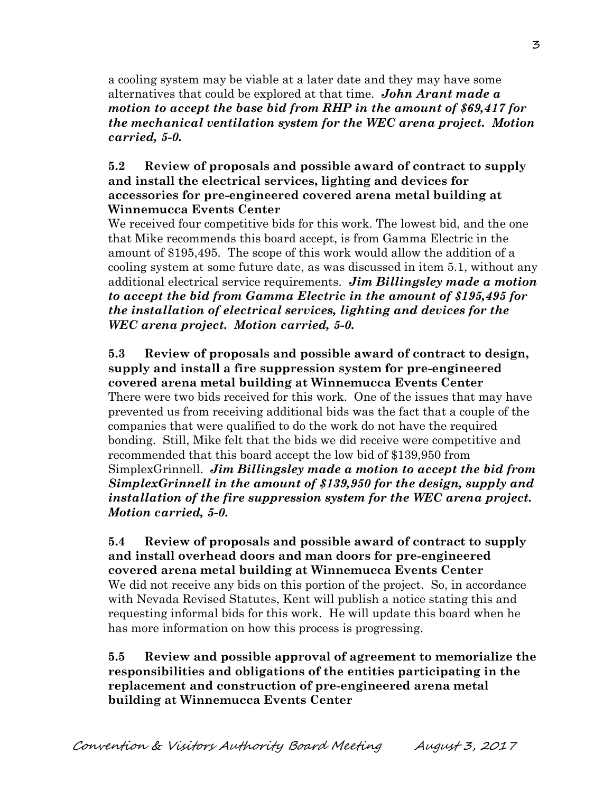a cooling system may be viable at a later date and they may have some alternatives that could be explored at that time. *John Arant made a motion to accept the base bid from RHP in the amount of \$69,417 for the mechanical ventilation system for the WEC arena project. Motion carried, 5-0.* 

#### **5.2 Review of proposals and possible award of contract to supply and install the electrical services, lighting and devices for accessories for pre-engineered covered arena metal building at Winnemucca Events Center**

We received four competitive bids for this work. The lowest bid, and the one that Mike recommends this board accept, is from Gamma Electric in the amount of \$195,495. The scope of this work would allow the addition of a cooling system at some future date, as was discussed in item 5.1, without any additional electrical service requirements. *Jim Billingsley made a motion to accept the bid from Gamma Electric in the amount of \$195,495 for the installation of electrical services, lighting and devices for the WEC arena project. Motion carried, 5-0.* 

**5.3 Review of proposals and possible award of contract to design, supply and install a fire suppression system for pre-engineered covered arena metal building at Winnemucca Events Center**  There were two bids received for this work. One of the issues that may have prevented us from receiving additional bids was the fact that a couple of the companies that were qualified to do the work do not have the required bonding. Still, Mike felt that the bids we did receive were competitive and recommended that this board accept the low bid of \$139,950 from SimplexGrinnell. *Jim Billingsley made a motion to accept the bid from SimplexGrinnell in the amount of \$139,950 for the design, supply and installation of the fire suppression system for the WEC arena project. Motion carried, 5-0.*

**5.4 Review of proposals and possible award of contract to supply and install overhead doors and man doors for pre-engineered covered arena metal building at Winnemucca Events Center**  We did not receive any bids on this portion of the project. So, in accordance with Nevada Revised Statutes, Kent will publish a notice stating this and requesting informal bids for this work. He will update this board when he has more information on how this process is progressing.

## **5.5 Review and possible approval of agreement to memorialize the responsibilities and obligations of the entities participating in the replacement and construction of pre-engineered arena metal building at Winnemucca Events Center**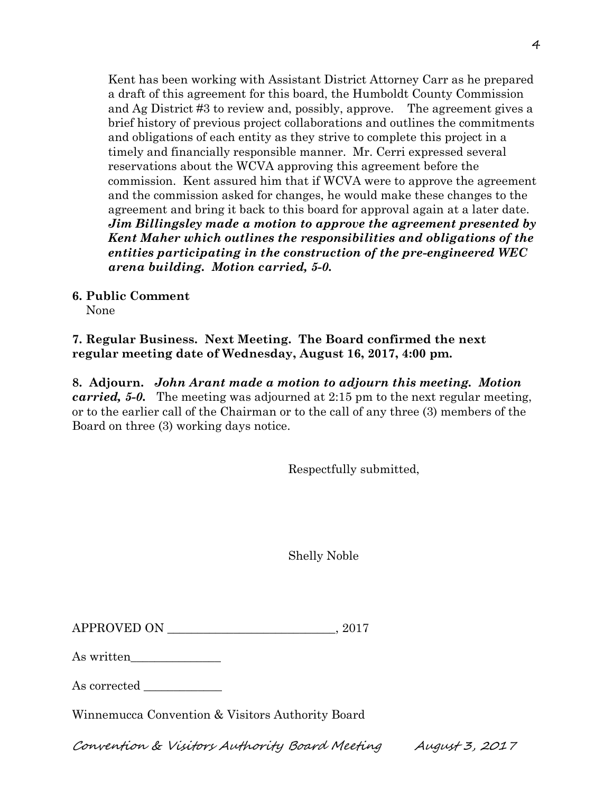Kent has been working with Assistant District Attorney Carr as he prepared a draft of this agreement for this board, the Humboldt County Commission and Ag District #3 to review and, possibly, approve. The agreement gives a brief history of previous project collaborations and outlines the commitments and obligations of each entity as they strive to complete this project in a timely and financially responsible manner. Mr. Cerri expressed several reservations about the WCVA approving this agreement before the commission. Kent assured him that if WCVA were to approve the agreement and the commission asked for changes, he would make these changes to the agreement and bring it back to this board for approval again at a later date. *Jim Billingsley made a motion to approve the agreement presented by Kent Maher which outlines the responsibilities and obligations of the entities participating in the construction of the pre-engineered WEC arena building. Motion carried, 5-0.*

**6. Public Comment** 

None

**7. Regular Business. Next Meeting. The Board confirmed the next regular meeting date of Wednesday, August 16, 2017, 4:00 pm.** 

**8. Adjourn.** *John Arant made a motion to adjourn this meeting. Motion carried, 5-0.* The meeting was adjourned at 2:15 pm to the next regular meeting, or to the earlier call of the Chairman or to the call of any three (3) members of the Board on three (3) working days notice.

Respectfully submitted,

Shelly Noble

| <b>APPROVED ON</b> |  |
|--------------------|--|
|--------------------|--|

As written

As corrected  $\_\_$ 

Winnemucca Convention & Visitors Authority Board

Convention & Visitors Authority Board Meeting August 3, 2017